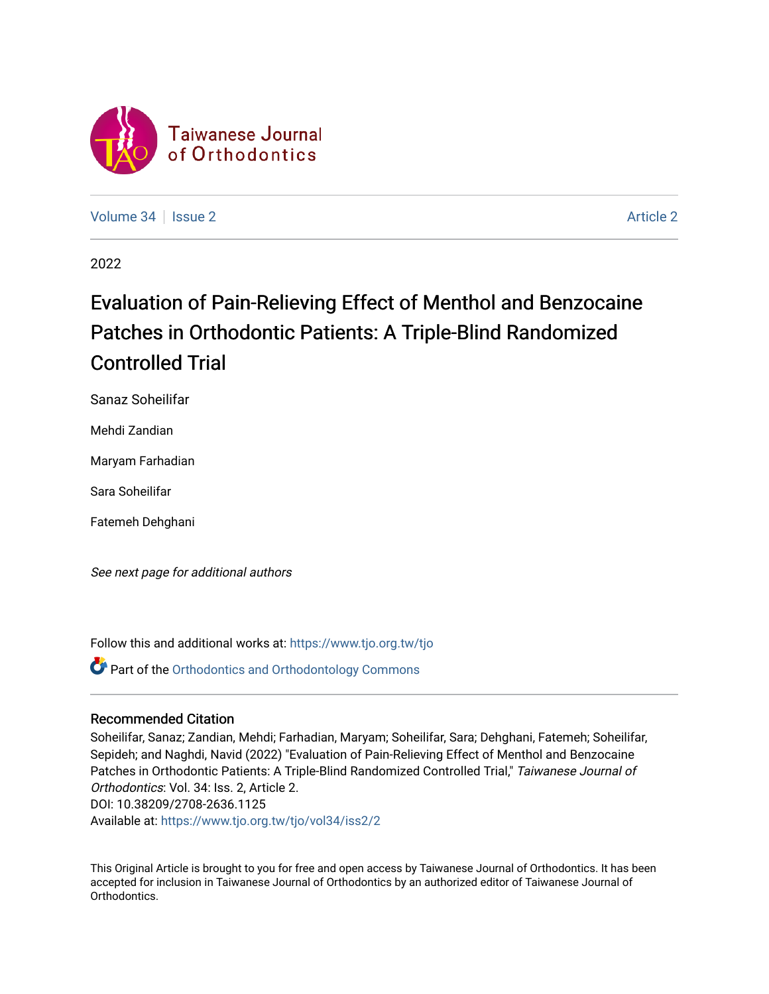

[Volume 34](https://www.tjo.org.tw/tjo/vol34) | [Issue 2](https://www.tjo.org.tw/tjo/vol34/iss2) [Article 2](https://www.tjo.org.tw/tjo/vol34/iss2/2) Article 2 Article 2 Article 2 Article 2 Article 2 Article 2

2022

# Evaluation of Pain-Relieving Effect of Menthol and Benzocaine Patches in Orthodontic Patients: A Triple-Blind Randomized Controlled Trial

Sanaz Soheilifar

Mehdi Zandian

Maryam Farhadian

Sara Soheilifar

Fatemeh Dehghani

See next page for additional authors

Follow this and additional works at: [https://www.tjo.org.tw/tjo](https://www.tjo.org.tw/tjo?utm_source=www.tjo.org.tw%2Ftjo%2Fvol34%2Fiss2%2F2&utm_medium=PDF&utm_campaign=PDFCoverPages)

**Part of the [Orthodontics and Orthodontology Commons](https://network.bepress.com/hgg/discipline/657?utm_source=www.tjo.org.tw%2Ftjo%2Fvol34%2Fiss2%2F2&utm_medium=PDF&utm_campaign=PDFCoverPages)** 

## Recommended Citation

Soheilifar, Sanaz; Zandian, Mehdi; Farhadian, Maryam; Soheilifar, Sara; Dehghani, Fatemeh; Soheilifar, Sepideh; and Naghdi, Navid (2022) "Evaluation of Pain-Relieving Effect of Menthol and Benzocaine Patches in Orthodontic Patients: A Triple-Blind Randomized Controlled Trial," Taiwanese Journal of Orthodontics: Vol. 34: Iss. 2, Article 2. DOI: 10.38209/2708-2636.1125 Available at: [https://www.tjo.org.tw/tjo/vol34/iss2/2](https://www.tjo.org.tw/tjo/vol34/iss2/2?utm_source=www.tjo.org.tw%2Ftjo%2Fvol34%2Fiss2%2F2&utm_medium=PDF&utm_campaign=PDFCoverPages)

This Original Article is brought to you for free and open access by Taiwanese Journal of Orthodontics. It has been accepted for inclusion in Taiwanese Journal of Orthodontics by an authorized editor of Taiwanese Journal of Orthodontics.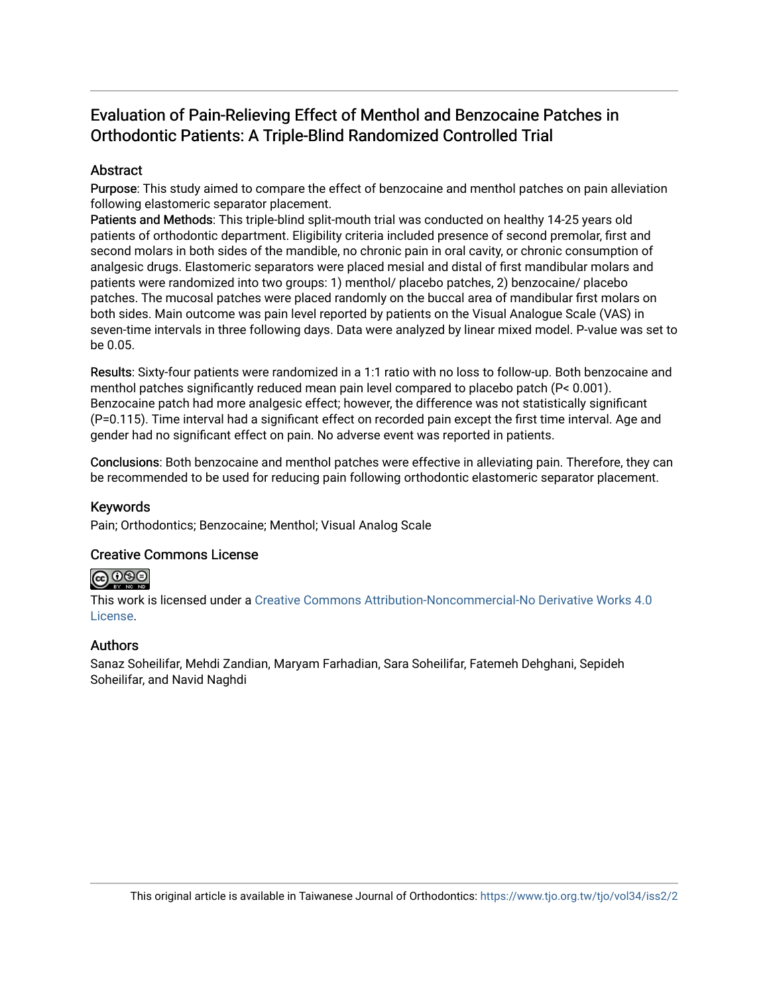## Evaluation of Pain-Relieving Effect of Menthol and Benzocaine Patches in Orthodontic Patients: A Triple-Blind Randomized Controlled Trial

## **Abstract**

Purpose: This study aimed to compare the effect of benzocaine and menthol patches on pain alleviation following elastomeric separator placement.

Patients and Methods: This triple-blind split-mouth trial was conducted on healthy 14-25 years old patients of orthodontic department. Eligibility criteria included presence of second premolar, first and second molars in both sides of the mandible, no chronic pain in oral cavity, or chronic consumption of analgesic drugs. Elastomeric separators were placed mesial and distal of first mandibular molars and patients were randomized into two groups: 1) menthol/ placebo patches, 2) benzocaine/ placebo patches. The mucosal patches were placed randomly on the buccal area of mandibular first molars on both sides. Main outcome was pain level reported by patients on the Visual Analogue Scale (VAS) in seven-time intervals in three following days. Data were analyzed by linear mixed model. P-value was set to be 0.05.

Results: Sixty-four patients were randomized in a 1:1 ratio with no loss to follow-up. Both benzocaine and menthol patches significantly reduced mean pain level compared to placebo patch (P< 0.001). Benzocaine patch had more analgesic effect; however, the difference was not statistically significant (P=0.115). Time interval had a significant effect on recorded pain except the first time interval. Age and gender had no significant effect on pain. No adverse event was reported in patients.

Conclusions: Both benzocaine and menthol patches were effective in alleviating pain. Therefore, they can be recommended to be used for reducing pain following orthodontic elastomeric separator placement.

## Keywords

Pain; Orthodontics; Benzocaine; Menthol; Visual Analog Scale

## Creative Commons License

## $\bigcirc$   $\bigcirc$   $\bigcirc$

This work is licensed under a [Creative Commons Attribution-Noncommercial-No Derivative Works 4.0](https://creativecommons.org/licenses/by-nc-nd/4.0/) [License](https://creativecommons.org/licenses/by-nc-nd/4.0/).

## Authors

Sanaz Soheilifar, Mehdi Zandian, Maryam Farhadian, Sara Soheilifar, Fatemeh Dehghani, Sepideh Soheilifar, and Navid Naghdi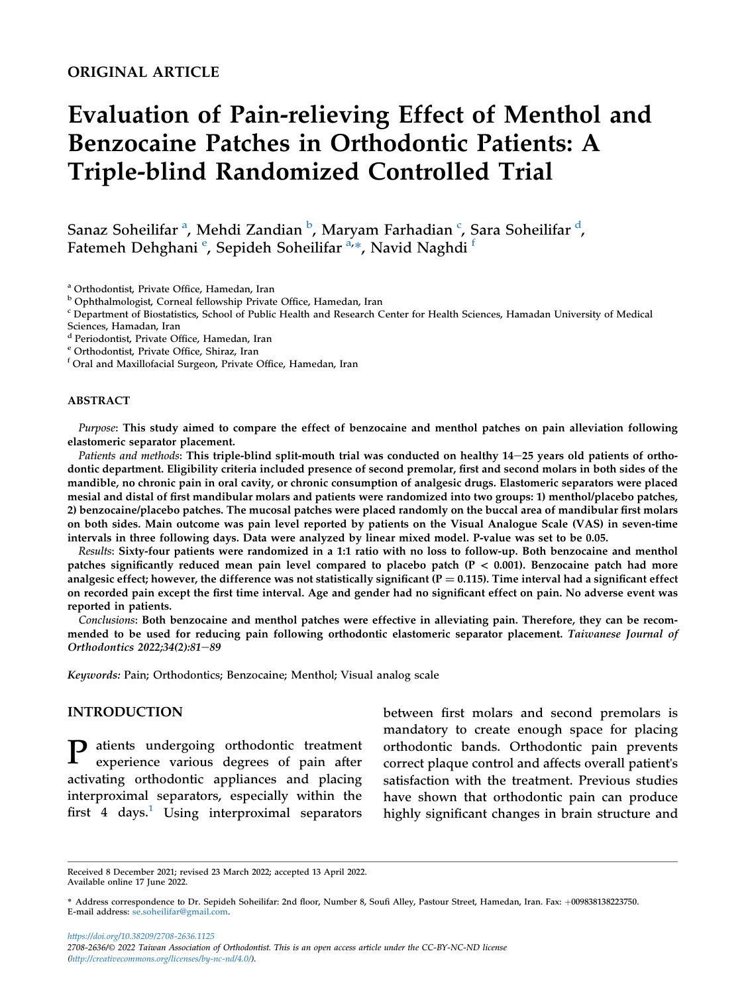## ORIGINAL ARTICLE

# Evaluation of Pain-relieving Effect of Menthol and Benzocaine Patches in Orthodontic Patients: A Triple-blind Randomized Controlled Trial

S[a](#page-2-0)naz Soheilifar <sup>a</sup>, Mehdi Zandian <sup>[b](#page-2-1)</sup>, Maryam Farhadian <sup>[c](#page-2-2)</sup>, Sara Soheilifar <sup>[d](#page-2-3)</sup>, Fat[e](#page-2-4)meh Dehghani <sup>e</sup>, Sepideh Soheilifar <sup>[a,](#page-2-0)</sup>\*, Navid Naghdi <sup>[f](#page-2-5)</sup>

<span id="page-2-1"></span>

<span id="page-2-0"></span>a Orthodontist, Private Office, Hamedan, Iran<br><sup>b</sup> Ophthalmologist, Corneal fellowship Private Office, Hamedan, Iran<br><sup>c</sup> Department of Biostatistics, School of Public Health and Research Center for Health Sciences, Hamadan

<span id="page-2-3"></span>Sciences, Hamadan, Iran<br><sup>d</sup> Periodontist, Private Office, Hamedan, Iran

<span id="page-2-5"></span>

<span id="page-2-4"></span><sup>e</sup> Orthodontist, Private Office, Shiraz, Iran  $f$ Oral and Maxillofacial Surgeon, Private Office, Hamedan, Iran

#### ABSTRACT

Purpose: This study aimed to compare the effect of benzocaine and menthol patches on pain alleviation following elastomeric separator placement.

Patients and methods: This triple-blind split-mouth trial was conducted on healthy 14-25 years old patients of orthodontic department. Eligibility criteria included presence of second premolar, first and second molars in both sides of the mandible, no chronic pain in oral cavity, or chronic consumption of analgesic drugs. Elastomeric separators were placed mesial and distal of first mandibular molars and patients were randomized into two groups: 1) menthol/placebo patches, 2) benzocaine/placebo patches. The mucosal patches were placed randomly on the buccal area of mandibular first molars on both sides. Main outcome was pain level reported by patients on the Visual Analogue Scale (VAS) in seven-time intervals in three following days. Data were analyzed by linear mixed model. P-value was set to be 0.05.

Results: Sixty-four patients were randomized in a 1:1 ratio with no loss to follow-up. Both benzocaine and menthol patches significantly reduced mean pain level compared to placebo patch (P < 0.001). Benzocaine patch had more analgesic effect; however, the difference was not statistically significant ( $P = 0.115$ ). Time interval had a significant effect on recorded pain except the first time interval. Age and gender had no significant effect on pain. No adverse event was reported in patients.

Conclusions: Both benzocaine and menthol patches were effective in alleviating pain. Therefore, they can be recommended to be used for reducing pain following orthodontic elastomeric separator placement. Taiwanese Journal of Orthodontics 2022;34(2):81-89

Keywords: Pain; Orthodontics; Benzocaine; Menthol; Visual analog scale

#### INTRODUCTION

P atients undergoing orthodontic treatment experience various degrees of pain after activating orthodontic appliances and placing interproximal separators, especially within the first 4 days.<sup>[1](#page-10-0)</sup> Using interproximal separators between first molars and second premolars is mandatory to create enough space for placing orthodontic bands. Orthodontic pain prevents correct plaque control and affects overall patient's satisfaction with the treatment. Previous studies have shown that orthodontic pain can produce highly significant changes in brain structure and

Received 8 December 2021; revised 23 March 2022; accepted 13 April 2022. Available online 17 June 2022.

https://doi.org/10.38209/2708-2636.1125 2708-2636/© 2022 Taiwan Association of Orthodontist. This is an open access article under the CC-BY-NC-ND license [\(http://creativecommons.org/licenses/by-nc-nd/4.0/\)](http://creativecommons.org/licenses/by-nc-nd/4.0/).

<span id="page-2-2"></span>

<sup>\*</sup> Address correspondence to Dr. Sepideh Soheilifar: 2nd floor, Number 8, Soufi Alley, Pastour Street, Hamedan, Iran. Fax: +009838138223750. E-mail address: [se.soheilifar@gmail.com](mailto:se.soheilifar@gmail.com).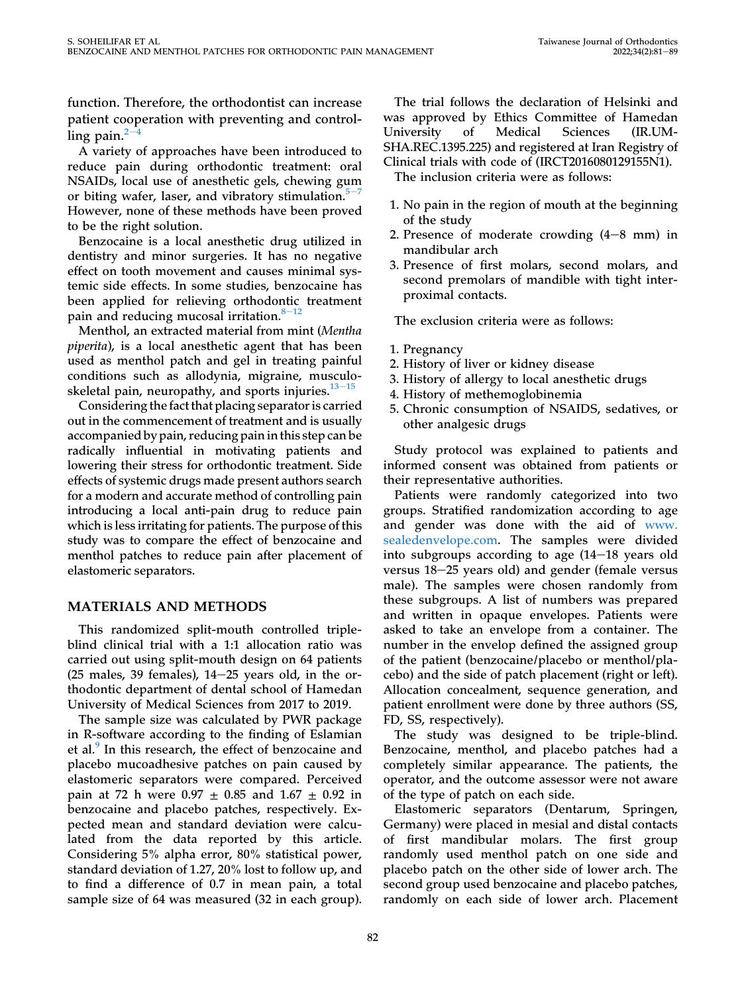function. Therefore, the orthodontist can increase patient cooperation with preventing and controlling pain. $^2$  $^2$ 

A variety of approaches have been introduced to reduce pain during orthodontic treatment: oral NSAIDs, local use of anesthetic gels, chewing gum or biting wafer, laser, and vibratory stimulation. $5<sup>-7</sup>$  $5<sup>-7</sup>$  $5<sup>-7</sup>$ However, none of these methods have been proved to be the right solution.

Benzocaine is a local anesthetic drug utilized in dentistry and minor surgeries. It has no negative effect on tooth movement and causes minimal systemic side effects. In some studies, benzocaine has been applied for relieving orthodontic treatment pain and reducing mucosal irritation. $8-12$  $8-12$  $8-12$ 

Menthol, an extracted material from mint (Mentha piperita), is a local anesthetic agent that has been used as menthol patch and gel in treating painful conditions such as allodynia, migraine, musculoskeletal pain, neuropathy, and sports injuries. $13-15$  $13-15$  $13-15$ 

Considering the fact that placing separator is carried out in the commencement of treatment and is usually accompanied by pain, reducing pain in this step can be radically influential in motivating patients and lowering their stress for orthodontic treatment. Side effects of systemic drugs made present authors search for a modern and accurate method of controlling pain introducing a local anti-pain drug to reduce pain which is less irritating for patients. The purpose of this study was to compare the effect of benzocaine and menthol patches to reduce pain after placement of elastomeric separators.

## MATERIALS AND METHODS

This randomized split-mouth controlled tripleblind clinical trial with a 1:1 allocation ratio was carried out using split-mouth design on 64 patients (25 males, 39 females),  $14-25$  years old, in the orthodontic department of dental school of Hamedan University of Medical Sciences from 2017 to 2019.

The sample size was calculated by PWR package in R-software according to the finding of Eslamian et al.<sup>[9](#page-10-5)</sup> In this research, the effect of benzocaine and placebo mucoadhesive patches on pain caused by elastomeric separators were compared. Perceived pain at 72 h were  $0.97 \pm 0.85$  and  $1.67 \pm 0.92$  in benzocaine and placebo patches, respectively. Expected mean and standard deviation were calculated from the data reported by this article. Considering 5% alpha error, 80% statistical power, standard deviation of 1.27, 20% lost to follow up, and to find a difference of 0.7 in mean pain, a total sample size of 64 was measured (32 in each group).

The trial follows the declaration of Helsinki and was approved by Ethics Committee of Hamedan University of Medical Sciences (IR.UM-SHA.REC.1395.225) and registered at Iran Registry of Clinical trials with code of (IRCT2016080129155N1).

The inclusion criteria were as follows:

- 1. No pain in the region of mouth at the beginning of the study
- 2. Presence of moderate crowding  $(4-8$  mm) in mandibular arch
- 3. Presence of first molars, second molars, and second premolars of mandible with tight interproximal contacts.

The exclusion criteria were as follows:

### 1. Pregnancy

- 2. History of liver or kidney disease
- 3. History of allergy to local anesthetic drugs
- 4. History of methemoglobinemia
- 5. Chronic consumption of NSAIDS, sedatives, or other analgesic drugs

Study protocol was explained to patients and informed consent was obtained from patients or their representative authorities.

Patients were randomly categorized into two groups. Stratified randomization according to age and gender was done with the aid of [www.](http://www.sealedenvelope.com/) [sealedenvelope.com](http://www.sealedenvelope.com/). The samples were divided into subgroups according to age  $(14-18 \text{ years})$ versus 18-25 years old) and gender (female versus male). The samples were chosen randomly from these subgroups. A list of numbers was prepared and written in opaque envelopes. Patients were asked to take an envelope from a container. The number in the envelop defined the assigned group of the patient (benzocaine/placebo or menthol/placebo) and the side of patch placement (right or left). Allocation concealment, sequence generation, and patient enrollment were done by three authors (SS, FD, SS, respectively).

The study was designed to be triple-blind. Benzocaine, menthol, and placebo patches had a completely similar appearance. The patients, the operator, and the outcome assessor were not aware of the type of patch on each side.

Elastomeric separators (Dentarum, Springen, Germany) were placed in mesial and distal contacts of first mandibular molars. The first group randomly used menthol patch on one side and placebo patch on the other side of lower arch. The second group used benzocaine and placebo patches, randomly on each side of lower arch. Placement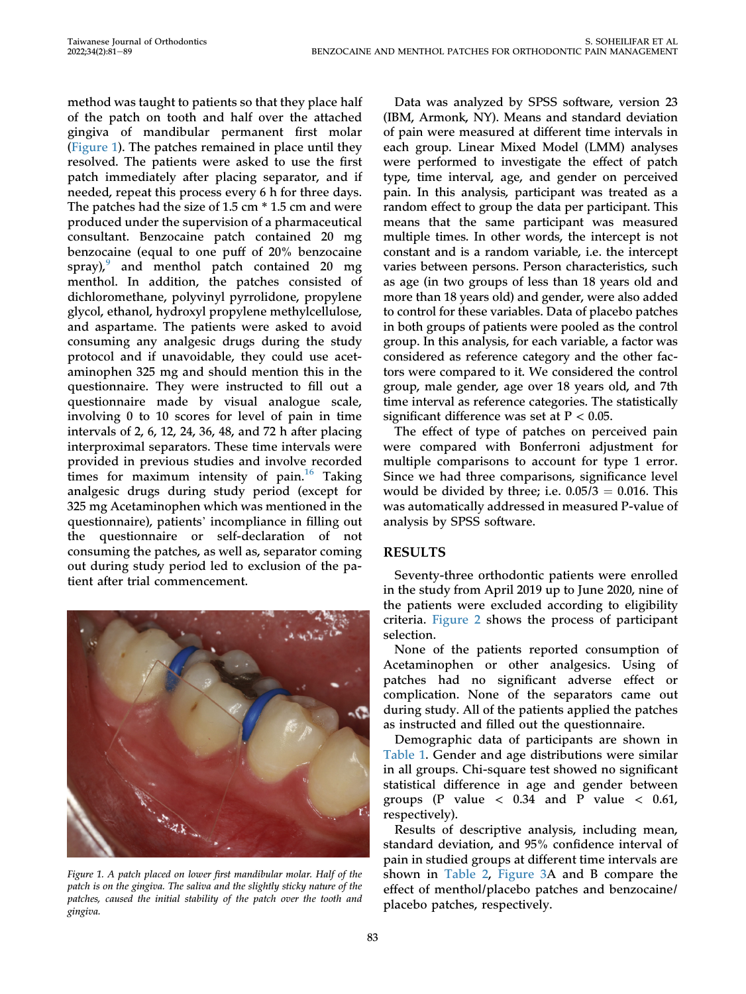method was taught to patients so that they place half of the patch on tooth and half over the attached gingiva of mandibular permanent first molar [\(Figure 1](#page-4-0)). The patches remained in place until they resolved. The patients were asked to use the first patch immediately after placing separator, and if needed, repeat this process every 6 h for three days. The patches had the size of 1.5 cm  $*$  1.5 cm and were produced under the supervision of a pharmaceutical consultant. Benzocaine patch contained 20 mg benzocaine (equal to one puff of 20% benzocaine spray), $9$  and menthol patch contained 20 mg menthol. In addition, the patches consisted of dichloromethane, polyvinyl pyrrolidone, propylene glycol, ethanol, hydroxyl propylene methylcellulose, and aspartame. The patients were asked to avoid consuming any analgesic drugs during the study protocol and if unavoidable, they could use acetaminophen 325 mg and should mention this in the questionnaire. They were instructed to fill out a questionnaire made by visual analogue scale, involving 0 to 10 scores for level of pain in time intervals of 2, 6, 12, 24, 36, 48, and 72 h after placing interproximal separators. These time intervals were provided in previous studies and involve recorded times for maximum intensity of pain.<sup>[16](#page-10-6)</sup> Taking analgesic drugs during study period (except for 325 mg Acetaminophen which was mentioned in the questionnaire), patients' incompliance in filling out the questionnaire or self-declaration of not consuming the patches, as well as, separator coming out during study period led to exclusion of the patient after trial commencement.

<span id="page-4-0"></span>

Figure 1. A patch placed on lower first mandibular molar. Half of the patch is on the gingiva. The saliva and the slightly sticky nature of the patches, caused the initial stability of the patch over the tooth and gingiva.

Data was analyzed by SPSS software, version 23 (IBM, Armonk, NY). Means and standard deviation of pain were measured at different time intervals in each group. Linear Mixed Model (LMM) analyses were performed to investigate the effect of patch type, time interval, age, and gender on perceived pain. In this analysis, participant was treated as a random effect to group the data per participant. This means that the same participant was measured multiple times. In other words, the intercept is not constant and is a random variable, i.e. the intercept varies between persons. Person characteristics, such as age (in two groups of less than 18 years old and more than 18 years old) and gender, were also added to control for these variables. Data of placebo patches in both groups of patients were pooled as the control group. In this analysis, for each variable, a factor was considered as reference category and the other factors were compared to it. We considered the control group, male gender, age over 18 years old, and 7th time interval as reference categories. The statistically significant difference was set at  $P < 0.05$ .

The effect of type of patches on perceived pain were compared with Bonferroni adjustment for multiple comparisons to account for type 1 error. Since we had three comparisons, significance level would be divided by three; i.e.  $0.05/3 = 0.016$ . This was automatically addressed in measured P-value of analysis by SPSS software.

## RESULTS

Seventy-three orthodontic patients were enrolled in the study from April 2019 up to June 2020, nine of the patients were excluded according to eligibility criteria. [Figure 2](#page-5-0) shows the process of participant selection.

None of the patients reported consumption of Acetaminophen or other analgesics. Using of patches had no significant adverse effect or complication. None of the separators came out during study. All of the patients applied the patches as instructed and filled out the questionnaire.

Demographic data of participants are shown in [Table 1.](#page-5-1) Gender and age distributions were similar in all groups. Chi-square test showed no significant statistical difference in age and gender between groups (P value  $< 0.34$  and P value  $< 0.61$ , respectively).

Results of descriptive analysis, including mean, standard deviation, and 95% confidence interval of pain in studied groups at different time intervals are shown in [Table 2](#page-6-0), [Figure 3A](#page-7-0) and B compare the effect of menthol/placebo patches and benzocaine/ placebo patches, respectively.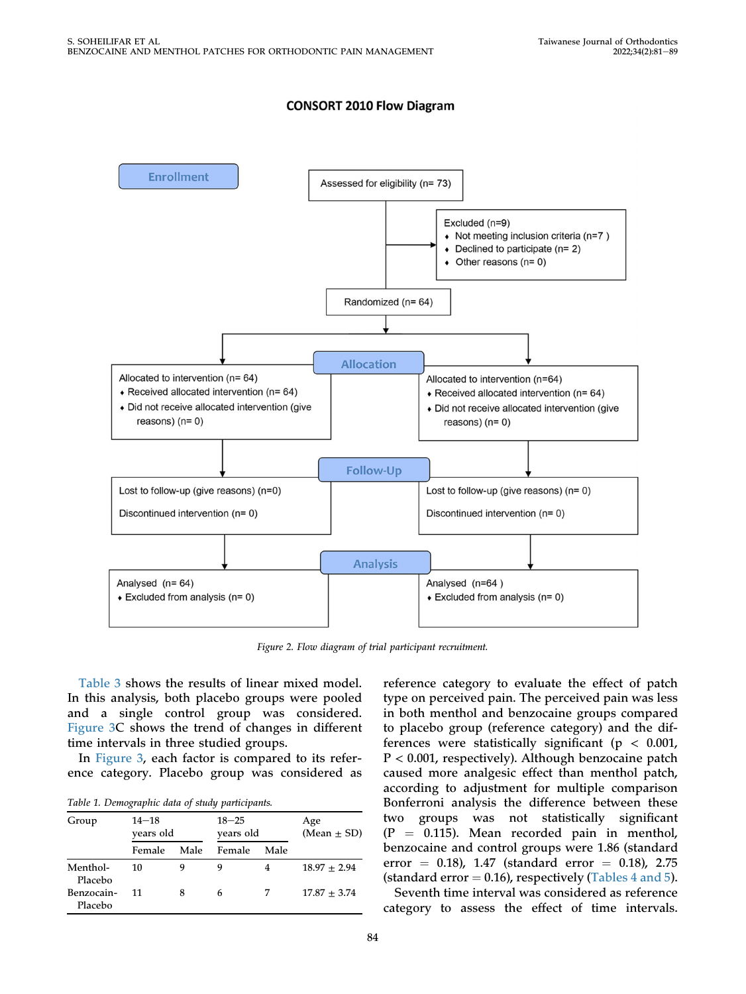## **CONSORT 2010 Flow Diagram**

<span id="page-5-0"></span>

Figure 2. Flow diagram of trial participant recruitment.

[Table 3](#page-8-0) shows the results of linear mixed model. In this analysis, both placebo groups were pooled and a single control group was considered. [Figure 3](#page-7-0)C shows the trend of changes in different time intervals in three studied groups.

In [Figure 3](#page-7-0), each factor is compared to its reference category. Placebo group was considered as

<span id="page-5-1"></span>Table 1. Demographic data of study participants.

| Group                 | $14 - 18$<br>vears old |      | $18 - 25$<br>years old |      | Age<br>$(Mean \pm SD)$ |
|-----------------------|------------------------|------|------------------------|------|------------------------|
|                       | Female                 | Male | Female                 | Male |                        |
| Menthol-<br>Placebo   | 10                     |      | 9                      |      | $18.97 + 2.94$         |
| Benzocain-<br>Placebo | 11                     |      | 6                      | 7    | $17.87 + 3.74$         |

reference category to evaluate the effect of patch type on perceived pain. The perceived pain was less in both menthol and benzocaine groups compared to placebo group (reference category) and the differences were statistically significant ( $p < 0.001$ , P < 0.001, respectively). Although benzocaine patch caused more analgesic effect than menthol patch, according to adjustment for multiple comparison Bonferroni analysis the difference between these two groups was not statistically significant  $(P = 0.115)$ . Mean recorded pain in menthol, benzocaine and control groups were 1.86 (standard error = 0.18), 1.47 (standard error = 0.18), 2.75 (standard error  $= 0.16$ ), respectively ([Tables 4 and 5\)](#page-8-1).

Seventh time interval was considered as reference category to assess the effect of time intervals.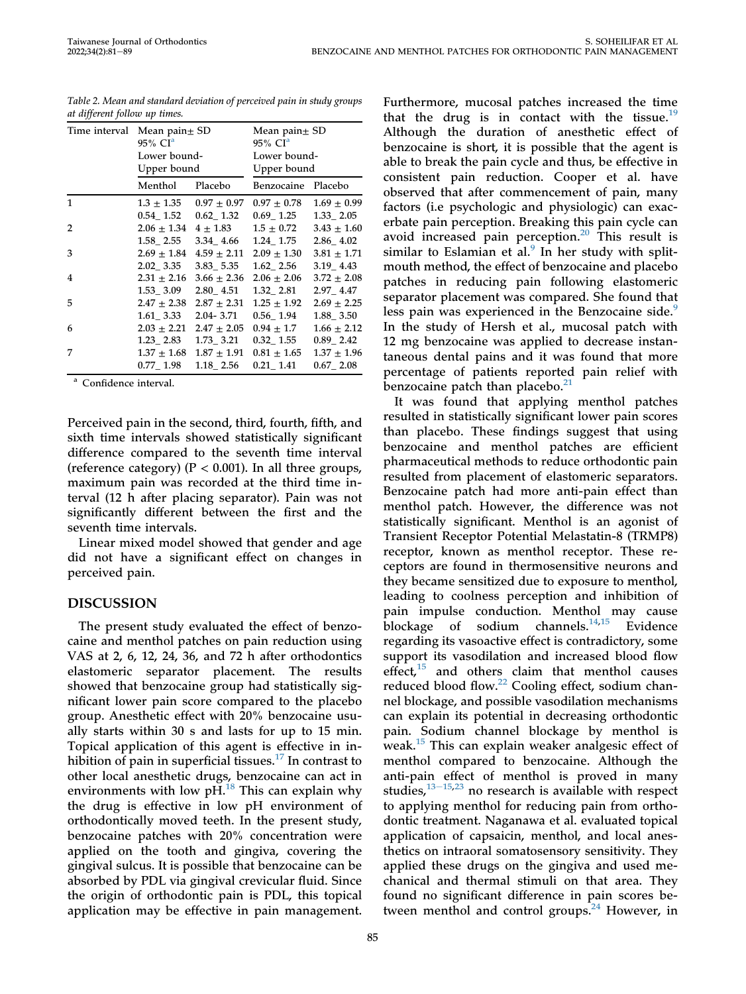| Time interval | Mean pain $\pm$ SD<br>$95\%$ CI <sup>a</sup> |                 | Mean pain $\pm$ SD<br>$95\%$ CI <sup>a</sup> |                 |  |
|---------------|----------------------------------------------|-----------------|----------------------------------------------|-----------------|--|
|               | Lower bound-                                 |                 | Lower bound-                                 |                 |  |
|               | Upper bound                                  |                 | Upper bound                                  |                 |  |
|               | Menthol                                      | Placebo         | Benzocaine Placebo                           |                 |  |
| 1             | $1.3 \pm 1.35$                               | $0.97 \pm 0.97$ | $0.97 \pm 0.78$                              | $1.69 \pm 0.99$ |  |
|               | 0.54 1.52                                    | $0.62$ 1.32     | 0.69 1.25                                    | 1.33 2.05       |  |
| 2             | $2.06 \pm 1.34$                              | $4 \pm 1.83$    | $1.5 \pm 0.72$                               | $3.43 \pm 1.60$ |  |
|               | 1.58 2.55                                    | 3.34 4.66       | 1.24 1.75                                    | 2.86 4.02       |  |
| 3             | $2.69 \pm 1.84$                              | $4.59 \pm 2.11$ | $2.09 \pm 1.30$                              | $3.81 \pm 1.71$ |  |
|               | 2.02 3.35                                    | $3.83 - 5.35$   | 1.62 2.56                                    | 3.19 4.43       |  |
| 4             | $2.31 \pm 2.16$                              | $3.66 \pm 2.36$ | $2.06 \pm 2.06$                              | $3.72 \pm 2.08$ |  |
|               | $1.53 - 3.09$                                | 2.80 4.51       | 1.32 2.81                                    | 2.97 4.47       |  |
| 5             | $2.47 \pm 2.38$                              | $2.87 \pm 2.31$ | $1.25 \pm 1.92$                              | $2.69 \pm 2.25$ |  |
|               | $1.61\_3.33$                                 | 2.04-3.71       | $0.56$ _ $1.94$                              | $1.88 - 3.50$   |  |
| 6             | $2.03 \pm 2.21$                              | $2.47 \pm 2.05$ | $0.94 \pm 1.7$                               | $1.66 \pm 2.12$ |  |
|               | 1.23 2.83                                    | 1.73 3.21       | $0.32 - 1.55$                                | $0.89 - 2.42$   |  |
| 7             | $1.37 \pm 1.68$                              | $1.87 \pm 1.91$ | $0.81 \pm 1.65$                              | $1.37 \pm 1.96$ |  |
|               | $0.77$ _ $1.98$                              | 1.18 2.56       | $0.21 - 1.41$                                | $0.67$ 2.08     |  |

<span id="page-6-0"></span>Table 2. Mean and standard deviation of perceived pain in study groups at different follow up times.

<span id="page-6-1"></span><sup>a</sup> Confidence interval.

Perceived pain in the second, third, fourth, fifth, and sixth time intervals showed statistically significant difference compared to the seventh time interval (reference category) ( $P < 0.001$ ). In all three groups, maximum pain was recorded at the third time interval (12 h after placing separator). Pain was not significantly different between the first and the seventh time intervals.

Linear mixed model showed that gender and age did not have a significant effect on changes in perceived pain.

## DISCUSSION

The present study evaluated the effect of benzocaine and menthol patches on pain reduction using VAS at 2, 6, 12, 24, 36, and 72 h after orthodontics elastomeric separator placement. The results showed that benzocaine group had statistically significant lower pain score compared to the placebo group. Anesthetic effect with 20% benzocaine usually starts within 30 s and lasts for up to 15 min. Topical application of this agent is effective in inhibition of pain in superficial tissues. $17$  In contrast to other local anesthetic drugs, benzocaine can act in environments with low  $pH$ .<sup>[18](#page-10-8)</sup> This can explain why the drug is effective in low pH environment of orthodontically moved teeth. In the present study, benzocaine patches with 20% concentration were applied on the tooth and gingiva, covering the gingival sulcus. It is possible that benzocaine can be absorbed by PDL via gingival crevicular fluid. Since the origin of orthodontic pain is PDL, this topical application may be effective in pain management.

Furthermore, mucosal patches increased the time that the drug is in contact with the tissue.<sup>[19](#page-10-9)</sup> Although the duration of anesthetic effect of benzocaine is short, it is possible that the agent is able to break the pain cycle and thus, be effective in consistent pain reduction. Cooper et al. have observed that after commencement of pain, many factors (i.e psychologic and physiologic) can exacerbate pain perception. Breaking this pain cycle can avoid increased pain perception.<sup>[20](#page-10-10)</sup> This result is similar to Eslamian et al. $9$  In her study with splitmouth method, the effect of benzocaine and placebo patches in reducing pain following elastomeric separator placement was compared. She found that less pain was experienced in the Benzocaine side.<sup>[9](#page-10-5)</sup> In the study of Hersh et al., mucosal patch with 12 mg benzocaine was applied to decrease instantaneous dental pains and it was found that more percentage of patients reported pain relief with benzocaine patch than placebo. $21$ 

It was found that applying menthol patches resulted in statistically significant lower pain scores than placebo. These findings suggest that using benzocaine and menthol patches are efficient pharmaceutical methods to reduce orthodontic pain resulted from placement of elastomeric separators. Benzocaine patch had more anti-pain effect than menthol patch. However, the difference was not statistically significant. Menthol is an agonist of Transient Receptor Potential Melastatin-8 (TRMP8) receptor, known as menthol receptor. These receptors are found in thermosensitive neurons and they became sensitized due to exposure to menthol, leading to coolness perception and inhibition of pain impulse conduction. Menthol may cause blockage of sodium channels.<sup>[14,](#page-10-12)[15](#page-10-13)</sup> Evidence regarding its vasoactive effect is contradictory, some support its vasodilation and increased blood flow effect, $15$  and others claim that menthol causes reduced blood flow.<sup>[22](#page-10-14)</sup> Cooling effect, sodium channel blockage, and possible vasodilation mechanisms can explain its potential in decreasing orthodontic pain. Sodium channel blockage by menthol is weak.[15](#page-10-13) This can explain weaker analgesic effect of menthol compared to benzocaine. Although the anti-pain effect of menthol is proved in many studies, $13-15,23$  $13-15,23$  $13-15,23$  $13-15,23$  no research is available with respect to applying menthol for reducing pain from orthodontic treatment. Naganawa et al. evaluated topical application of capsaicin, menthol, and local anesthetics on intraoral somatosensory sensitivity. They applied these drugs on the gingiva and used mechanical and thermal stimuli on that area. They found no significant difference in pain scores be-tween menthol and control groups.<sup>[24](#page-10-16)</sup> However, in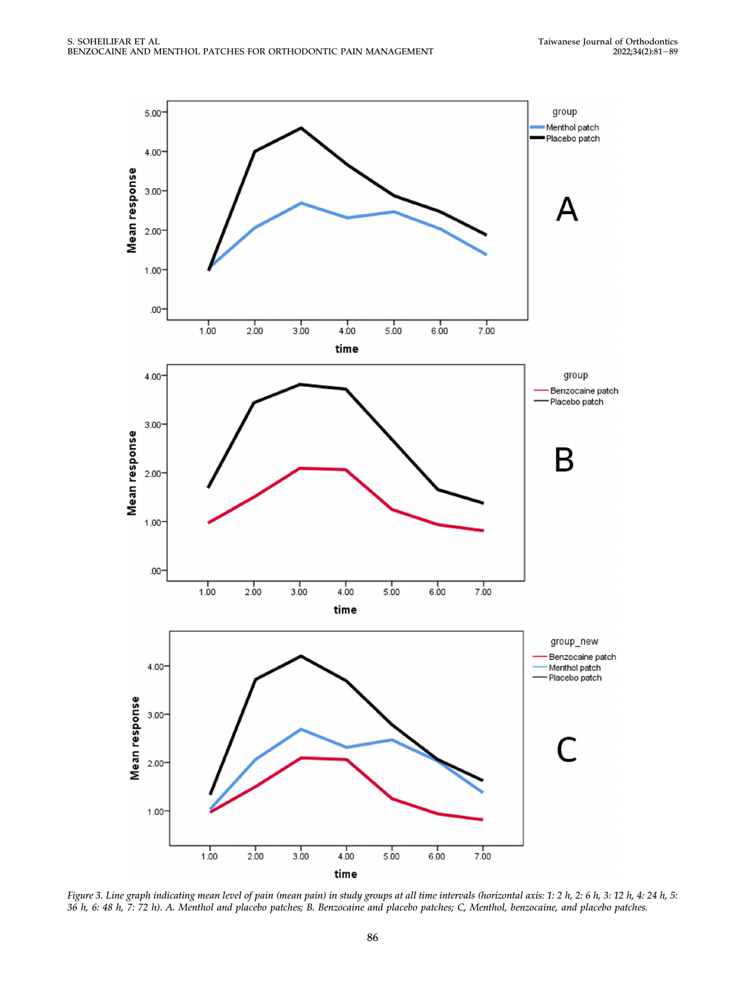<span id="page-7-0"></span>

Figure 3. Line graph indicating mean level of pain (mean pain) in study groups at all time intervals (horizontal axis: 1: 2 h, 2: 6 h, 3: 12 h, 4: 24 h, 5: 36 h, 6: 48 h, 7: 72 h). A. Menthol and placebo patches; B. Benzocaine and placebo patches; C, Menthol, benzocaine, and placebo patches.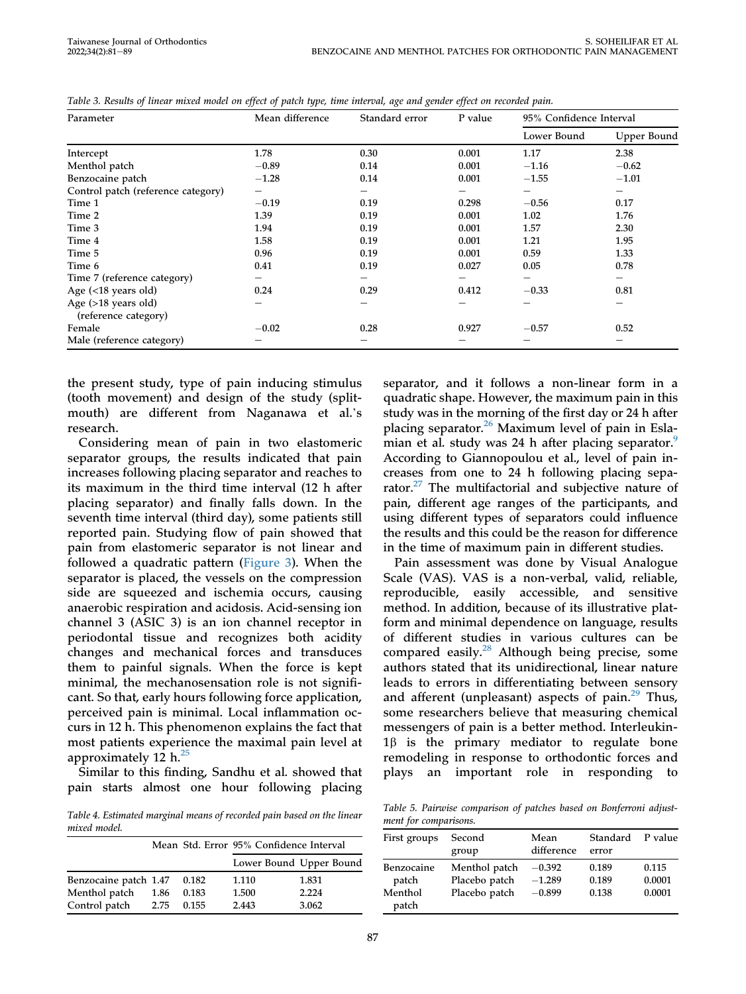| Parameter                                     | Mean difference | Standard error         | P value         | 95% Confidence Interval |                                |
|-----------------------------------------------|-----------------|------------------------|-----------------|-------------------------|--------------------------------|
|                                               |                 |                        |                 | Lower Bound             | Upper Bound                    |
| Intercept                                     | 1.78            | 0.30                   | 0.001           | 1.17                    | 2.38                           |
| Menthol patch                                 | $-0.89$         | 0.14                   | 0.001           | $-1.16$                 | $-0.62$                        |
| Benzocaine patch                              | $-1.28$         | 0.14                   | 0.001           | $-1.55$                 | $-1.01$                        |
| Control patch (reference category)            | —               | $\qquad \qquad \qquad$ | $\qquad \qquad$ |                         | $\qquad \qquad \longleftarrow$ |
| Time 1                                        | $-0.19$         | 0.19                   | 0.298           | $-0.56$                 | 0.17                           |
| Time 2                                        | 1.39            | 0.19                   | 0.001           | 1.02                    | 1.76                           |
| Time 3                                        | 1.94            | 0.19                   | 0.001           | 1.57                    | 2.30                           |
| Time 4                                        | 1.58            | 0.19                   | 0.001           | 1.21                    | 1.95                           |
| Time 5                                        | 0.96            | 0.19                   | 0.001           | 0.59                    | 1.33                           |
| Time 6                                        | 0.41            | 0.19                   | 0.027           | 0.05                    | 0.78                           |
| Time 7 (reference category)                   |                 | $\qquad \qquad \qquad$ |                 |                         | $\overline{\phantom{0}}$       |
| Age $(<18$ years old)                         | 0.24            | 0.29                   | 0.412           | $-0.33$                 | 0.81                           |
| Age $(>18$ years old)<br>(reference category) | —               | —                      | —               | —                       |                                |
| Female                                        | $-0.02$         | 0.28                   | 0.927           | $-0.57$                 | 0.52                           |
| Male (reference category)                     |                 |                        |                 |                         |                                |

<span id="page-8-0"></span>Table 3. Results of linear mixed model on effect of patch type, time interval, age and gender effect on recorded pain.

the present study, type of pain inducing stimulus (tooth movement) and design of the study (splitme present study, type of pain inducing sumulus<br>(tooth movement) and design of the study (split-<br>mouth) are different from Naganawa et al.'s research.

Considering mean of pain in two elastomeric separator groups, the results indicated that pain increases following placing separator and reaches to its maximum in the third time interval (12 h after placing separator) and finally falls down. In the seventh time interval (third day), some patients still reported pain. Studying flow of pain showed that pain from elastomeric separator is not linear and followed a quadratic pattern [\(Figure 3\)](#page-7-0). When the separator is placed, the vessels on the compression side are squeezed and ischemia occurs, causing anaerobic respiration and acidosis. Acid-sensing ion channel 3 (ASIC 3) is an ion channel receptor in periodontal tissue and recognizes both acidity changes and mechanical forces and transduces them to painful signals. When the force is kept minimal, the mechanosensation role is not significant. So that, early hours following force application, perceived pain is minimal. Local inflammation occurs in 12 h. This phenomenon explains the fact that most patients experience the maximal pain level at approximately 12  $h^{25}$ 

Similar to this finding, Sandhu et al. showed that pain starts almost one hour following placing

<span id="page-8-1"></span>Table 4. Estimated marginal means of recorded pain based on the linear mixed model.

|                       |      |       | Mean Std. Error 95% Confidence Interval |                         |
|-----------------------|------|-------|-----------------------------------------|-------------------------|
|                       |      |       |                                         | Lower Bound Upper Bound |
| Benzocaine patch 1.47 |      | 0.182 | 1.110                                   | 1.831                   |
| Menthol patch         | 1.86 | 0.183 | 1.500                                   | 2.224                   |
| Control patch         | 2.75 | 0.155 | 2.443                                   | 3.062                   |

separator, and it follows a non-linear form in a quadratic shape. However, the maximum pain in this study was in the morning of the first day or 24 h after placing separator. $26$  Maximum level of pain in Esla-mian et al. study was 24 h after placing separator.<sup>[9](#page-10-5)</sup> According to Giannopoulou et al., level of pain increases from one to 24 h following placing separator. $27$  The multifactorial and subjective nature of pain, different age ranges of the participants, and using different types of separators could influence the results and this could be the reason for difference in the time of maximum pain in different studies.

Pain assessment was done by Visual Analogue Scale (VAS). VAS is a non-verbal, valid, reliable, reproducible, easily accessible, and sensitive method. In addition, because of its illustrative platform and minimal dependence on language, results of different studies in various cultures can be compared easily.<sup>28</sup> Although being precise, some authors stated that its unidirectional, linear nature leads to errors in differentiating between sensory and afferent (unpleasant) aspects of pain. $29$  Thus, some researchers believe that measuring chemical messengers of pain is a better method. Interleukin- $1\beta$  is the primary mediator to regulate bone remodeling in response to orthodontic forces and plays an important role in responding to

Table 5. Pairwise comparison of patches based on Bonferroni adjustment for comparisons.

| First groups                            | Second<br>group                                 | Mean<br>difference               | Standard<br>error       | P value                   |  |  |  |
|-----------------------------------------|-------------------------------------------------|----------------------------------|-------------------------|---------------------------|--|--|--|
| Benzocaine<br>patch<br>Menthol<br>patch | Menthol patch<br>Placebo patch<br>Placebo patch | $-0.392$<br>$-1.289$<br>$-0.899$ | 0.189<br>0.189<br>0.138 | 0.115<br>0.0001<br>0.0001 |  |  |  |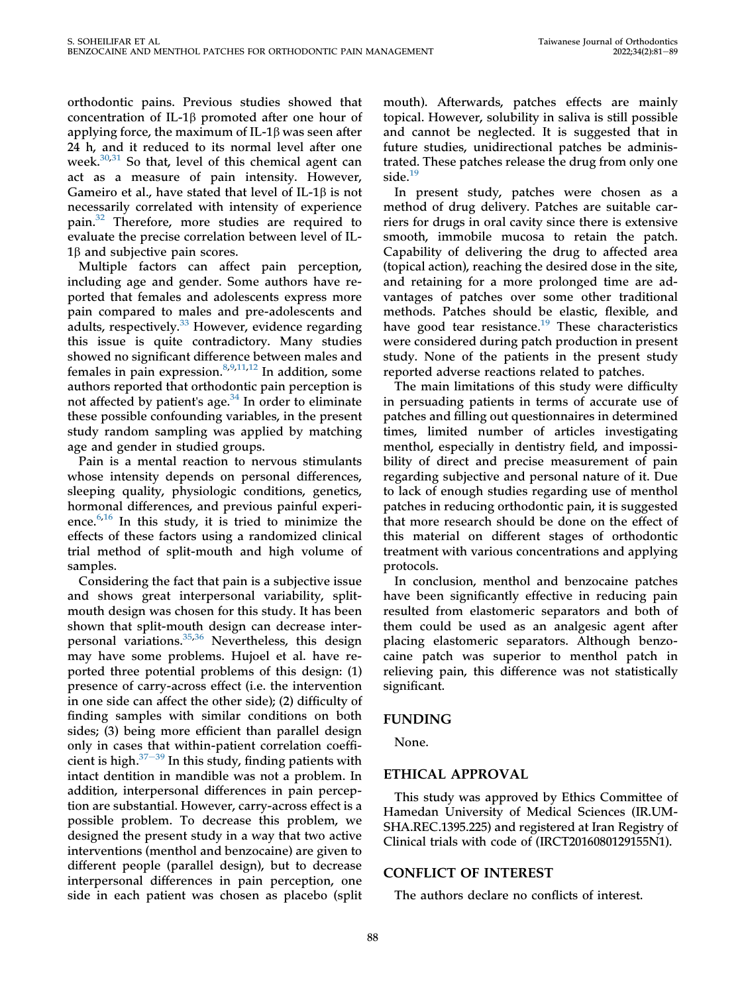orthodontic pains. Previous studies showed that concentration of IL-1 $\beta$  promoted after one hour of applying force, the maximum of IL-1 $\beta$  was seen after 24 h, and it reduced to its normal level after one week.<sup>[30](#page-10-22)[,31](#page-10-23)</sup> So that, level of this chemical agent can act as a measure of pain intensity. However, Gameiro et al., have stated that level of IL-1 $\beta$  is not necessarily correlated with intensity of experience pain.[32](#page-10-24) Therefore, more studies are required to evaluate the precise correlation between level of IL- $1\beta$  and subjective pain scores.

Multiple factors can affect pain perception, including age and gender. Some authors have reported that females and adolescents express more pain compared to males and pre-adolescents and adults, respectively. $33$  However, evidence regarding this issue is quite contradictory. Many studies showed no significant difference between males and females in pain expression. $8,9,11,12$  $8,9,11,12$  $8,9,11,12$  $8,9,11,12$  In addition, some authors reported that orthodontic pain perception is not affected by patient's age. $34$  In order to eliminate these possible confounding variables, in the present study random sampling was applied by matching age and gender in studied groups.

Pain is a mental reaction to nervous stimulants whose intensity depends on personal differences, sleeping quality, physiologic conditions, genetics, hormonal differences, and previous painful experience. $6,16$  $6,16$  In this study, it is tried to minimize the effects of these factors using a randomized clinical trial method of split-mouth and high volume of samples.

Considering the fact that pain is a subjective issue and shows great interpersonal variability, splitmouth design was chosen for this study. It has been shown that split-mouth design can decrease inter-personal variations.<sup>[35](#page-10-30)[,36](#page-10-31)</sup> Nevertheless, this design may have some problems. Hujoel et al. have reported three potential problems of this design: (1) presence of carry-across effect (i.e. the intervention in one side can affect the other side); (2) difficulty of finding samples with similar conditions on both sides; (3) being more efficient than parallel design only in cases that within-patient correlation coefficient is high. $37-39$  $37-39$  $37-39$  In this study, finding patients with intact dentition in mandible was not a problem. In addition, interpersonal differences in pain perception are substantial. However, carry-across effect is a possible problem. To decrease this problem, we designed the present study in a way that two active interventions (menthol and benzocaine) are given to different people (parallel design), but to decrease interpersonal differences in pain perception, one side in each patient was chosen as placebo (split

mouth). Afterwards, patches effects are mainly topical. However, solubility in saliva is still possible and cannot be neglected. It is suggested that in future studies, unidirectional patches be administrated. These patches release the drug from only one side.<sup>[19](#page-10-9)</sup>

In present study, patches were chosen as a method of drug delivery. Patches are suitable carriers for drugs in oral cavity since there is extensive smooth, immobile mucosa to retain the patch. Capability of delivering the drug to affected area (topical action), reaching the desired dose in the site, and retaining for a more prolonged time are advantages of patches over some other traditional methods. Patches should be elastic, flexible, and have good tear resistance.<sup>[19](#page-10-9)</sup> These characteristics were considered during patch production in present study. None of the patients in the present study reported adverse reactions related to patches.

The main limitations of this study were difficulty in persuading patients in terms of accurate use of patches and filling out questionnaires in determined times, limited number of articles investigating menthol, especially in dentistry field, and impossibility of direct and precise measurement of pain regarding subjective and personal nature of it. Due to lack of enough studies regarding use of menthol patches in reducing orthodontic pain, it is suggested that more research should be done on the effect of this material on different stages of orthodontic treatment with various concentrations and applying protocols.

In conclusion, menthol and benzocaine patches have been significantly effective in reducing pain resulted from elastomeric separators and both of them could be used as an analgesic agent after placing elastomeric separators. Although benzocaine patch was superior to menthol patch in relieving pain, this difference was not statistically significant.

## FUNDING

None.

## ETHICAL APPROVAL

This study was approved by Ethics Committee of Hamedan University of Medical Sciences (IR.UM-SHA.REC.1395.225) and registered at Iran Registry of Clinical trials with code of (IRCT2016080129155N1).

## CONFLICT OF INTEREST

The authors declare no conflicts of interest.